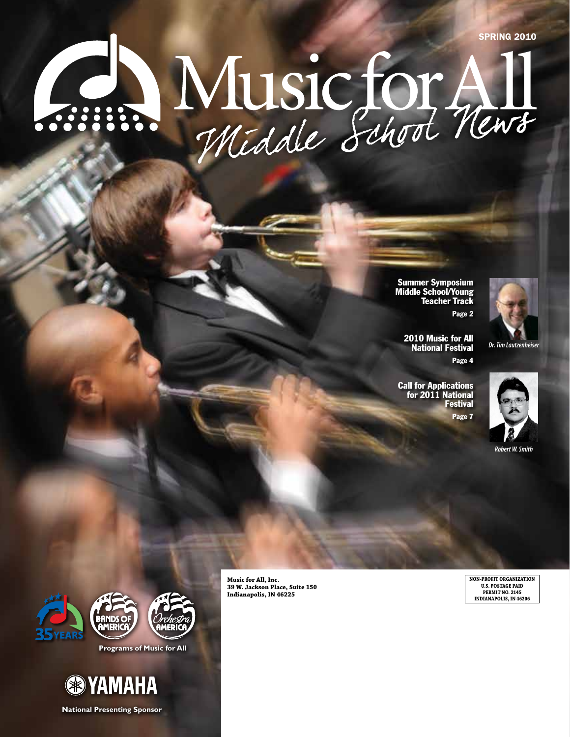# MUSIC for All

Summer Symposium Middle School/Young Teacher Track Page 2



2010 Music for All National Festival Page 4

Call for Applications for 2011 National Festival Page 7



*Robert W. Smith*





**Programs of Music for All**



**National Presenting Sponsor**

**Music for All, Inc. 39 W. Jackson Place, Suite 150 Indianapolis, IN 46225**

**NON-PROFIT ORGANIZATION U.S. POSTAGE PAID PERMIT NO. 2145 INDIANAPOLIS, IN 46206**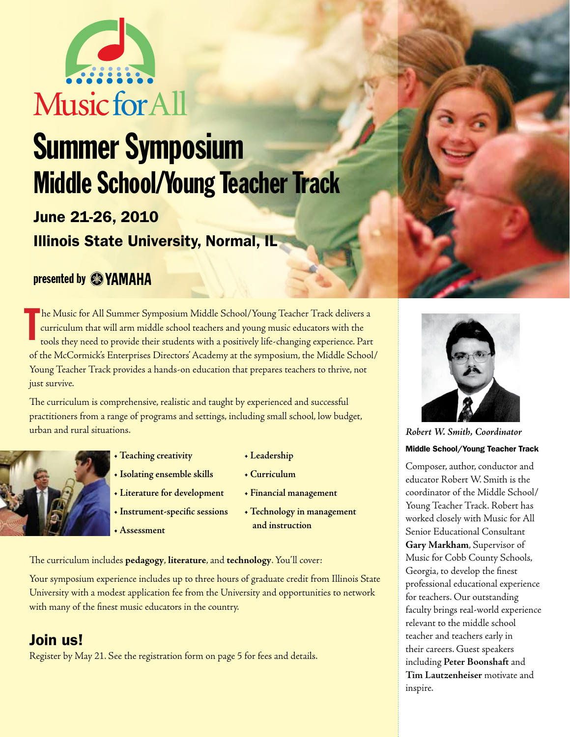

# Summer Symposium Middle School/Young Teacher Track

June 21-26, 2010 Illinois State University, Normal, IL

# presented by **SYAMAHA**

he Music for All Summer Symposium Middle School/Young Teacher Track delivers a curriculum that will arm middle school teachers and young music educators with the tools they need to provide their students with a positively life-changing experience. Part of the McCormick's Enterprises Directors' Academy at the symposium, the Middle School/ Young Teacher Track provides a hands-on education that prepares teachers to thrive, not just survive. T

The curriculum is comprehensive, realistic and taught by experienced and successful practitioners from a range of programs and settings, including small school, low budget, urban and rural situations.



- **Teaching creativity**
- **Isolating ensemble skills**
- **Literature for development**
- **Instrument-specific sessions • Assessment**
- **Leadership**
- **Curriculum**
- **Financial management**
- **Technology in management and instruction**

The curriculum includes **pedagogy**, **literature**, and **technology**. You'll cover:

Your symposium experience includes up to three hours of graduate credit from Illinois State University with a modest application fee from the University and opportunities to network with many of the finest music educators in the country.

# Join us!

Register by May 21. See the registration form on page 5 for fees and details.



*Robert W. Smith, Coordinator* Middle School/Young Teacher Track

Composer, author, conductor and educator Robert W. Smith is the coordinator of the Middle School/ Young Teacher Track. Robert has worked closely with Music for All Senior Educational Consultant **Gary Markham**, Supervisor of Music for Cobb County Schools, Georgia, to develop the finest professional educational experience for teachers. Our outstanding faculty brings real-world experience relevant to the middle school teacher and teachers early in their careers. Guest speakers including **Peter Boonshaft** and **Tim Lautzenheiser** motivate and inspire.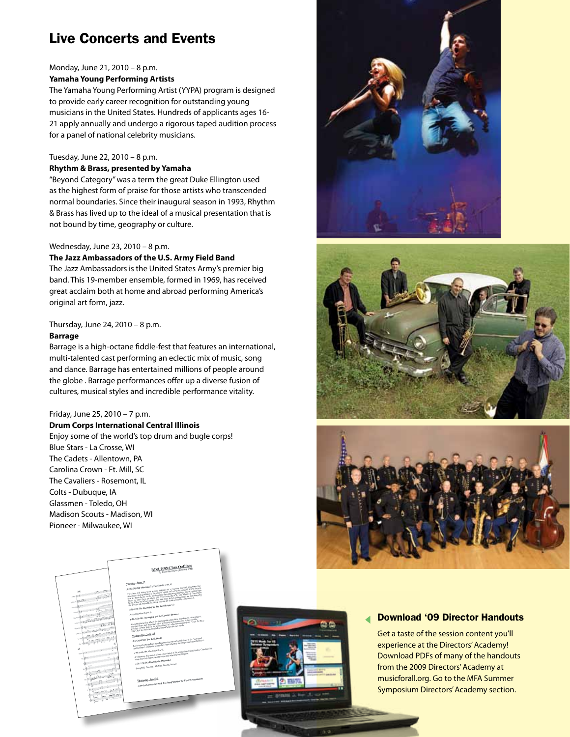# Live Concerts and Events

### Monday, June 21, 2010 – 8 p.m.

# **Yamaha Young Performing Artists**

The Yamaha Young Performing Artist (YYPA) program is designed to provide early career recognition for outstanding young musicians in the United States. Hundreds of applicants ages 16- 21 apply annually and undergo a rigorous taped audition process for a panel of national celebrity musicians.

### Tuesday, June 22, 2010 – 8 p.m.

# **Rhythm & Brass, presented by Yamaha**

"Beyond Category" was a term the great Duke Ellington used as the highest form of praise for those artists who transcended normal boundaries. Since their inaugural season in 1993, Rhythm & Brass has lived up to the ideal of a musical presentation that is not bound by time, geography or culture.

### Wednesday, June 23, 2010 – 8 p.m.

### **The Jazz Ambassadors of the U.S. Army Field Band**

The Jazz Ambassadors is the United States Army's premier big band. This 19-member ensemble, formed in 1969, has received great acclaim both at home and abroad performing America's original art form, jazz.

# Thursday, June 24, 2010 – 8 p.m.

### **Barrage**

Barrage is a high-octane fiddle-fest that features an international, multi-talented cast performing an eclectic mix of music, song and dance. Barrage has entertained millions of people around the globe . Barrage performances offer up a diverse fusion of cultures, musical styles and incredible performance vitality.

# Friday, June 25, 2010 – 7 p.m.

### **Drum Corps International Central Illinois**

Enjoy some of the world's top drum and bugle corps! Blue Stars - La Crosse, WI The Cadets - Allentown, PA Carolina Crown - Ft. Mill, SC The Cavaliers - Rosemont, IL Colts - Dubuque, IA Glassmen - Toledo, OH Madison Scouts - Madison, WI Pioneer - Milwaukee, WI









# Download '09 Director Handouts

Get a taste of the session content you'll experience at the Directors' Academy! Download PDFs of many of the handouts from the 2009 Directors' Academy at musicforall.org. Go to the MFA Summer Symposium Directors' Academy section.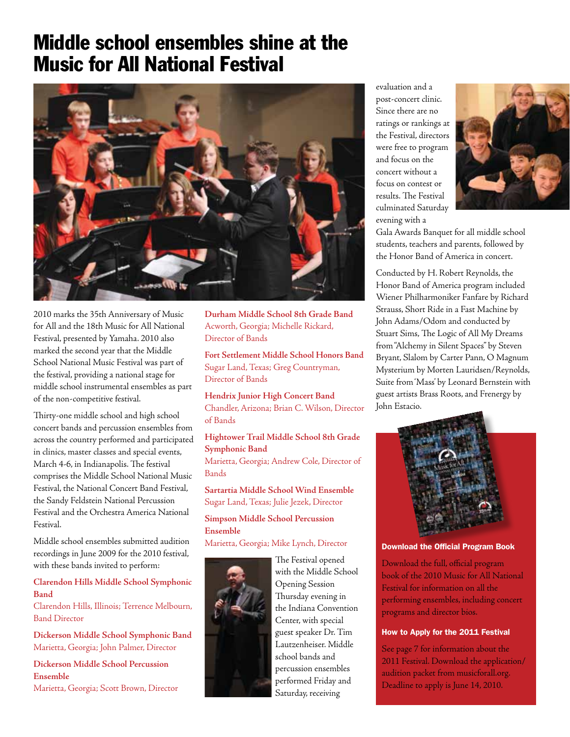# Middle school ensembles shine at the Music for All National Festival



2010 marks the 35th Anniversary of Music for All and the 18th Music for All National Festival, presented by Yamaha. 2010 also marked the second year that the Middle School National Music Festival was part of the festival, providing a national stage for middle school instrumental ensembles as part of the non-competitive festival.

Thirty-one middle school and high school concert bands and percussion ensembles from across the country performed and participated in clinics, master classes and special events, March 4-6, in Indianapolis. The festival comprises the Middle School National Music Festival, the National Concert Band Festival, the Sandy Feldstein National Percussion Festival and the Orchestra America National Festival.

Middle school ensembles submitted audition recordings in June 2009 for the 2010 festival, with these bands invited to perform:

# **Clarendon Hills Middle School Symphonic Band**

Clarendon Hills, Illinois; Terrence Melbourn, Band Director

**Dickerson Middle School Symphonic Band** Marietta, Georgia; John Palmer, Director

**Dickerson Middle School Percussion Ensemble** Marietta, Georgia; Scott Brown, Director

**Durham Middle School 8th Grade Band** Acworth, Georgia; Michelle Rickard, Director of Bands

**Fort Settlement Middle School Honors Band** Sugar Land, Texas; Greg Countryman, Director of Bands

**Hendrix Junior High Concert Band** Chandler, Arizona; Brian C. Wilson, Director of Bands

# **Hightower Trail Middle School 8th Grade Symphonic Band**

Marietta, Georgia; Andrew Cole, Director of Bands

**Sartartia Middle School Wind Ensemble** Sugar Land, Texas; Julie Jezek, Director

**Simpson Middle School Percussion Ensemble**

Marietta, Georgia; Mike Lynch, Director



The Festival opened with the Middle School Opening Session Thursday evening in the Indiana Convention Center, with special guest speaker Dr. Tim Lautzenheiser. Middle school bands and percussion ensembles performed Friday and Saturday, receiving

evaluation and a post-concert clinic. Since there are no ratings or rankings at the Festival, directors were free to program and focus on the concert without a focus on contest or results. The Festival culminated Saturday evening with a



Gala Awards Banquet for all middle school students, teachers and parents, followed by the Honor Band of America in concert.

Conducted by H. Robert Reynolds, the Honor Band of America program included Wiener Philharmoniker Fanfare by Richard Strauss, Short Ride in a Fast Machine by John Adams/Odom and conducted by Stuart Sims, The Logic of All My Dreams from "Alchemy in Silent Spaces" by Steven Bryant, Slalom by Carter Pann, O Magnum Mysterium by Morten Lauridsen/Reynolds, Suite from 'Mass' by Leonard Bernstein with guest artists Brass Roots, and Frenergy by John Estacio.



Download the Official Program Book

Download the full, official program book of the 2010 Music for All National Festival for information on all the performing ensembles, including concert programs and director bios.

# How to Apply for the 2011 Festival

See page 7 for information about the 2011 Festival. Download the application/ audition packet from musicforall.org. Deadline to apply is June 14, 2010.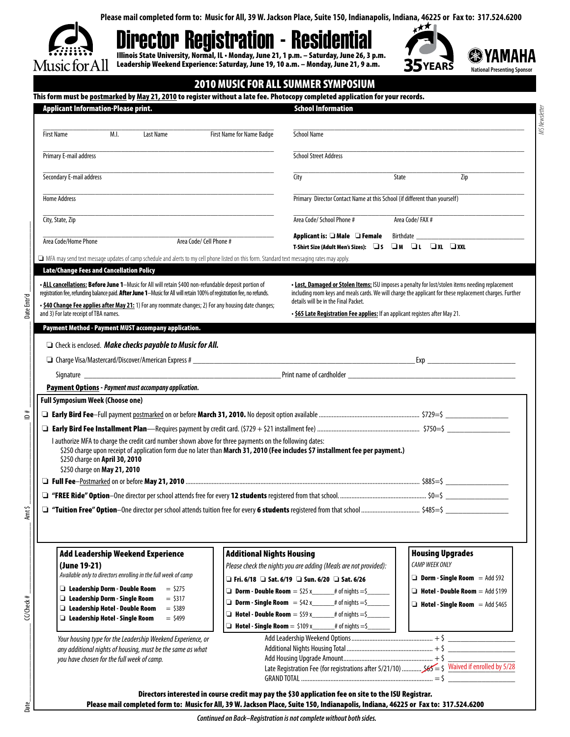**Please mail completed form to: Music for All, 39 W. Jackson Place, Suite 150, Indianapolis, Indiana, 46225 or Fax to: 317.524.6200**



# Director Registration - Residential

Illinois State University, Normal, IL• Monday, June 21, 1 p.m. – Saturday, June 26, 3 p.m. Leadership Weekend Experience: Saturday, June 19, 10 a.m. – Monday, June 21, 9 a.m.



HΑ **National Presenting Sponsor**

*MS Newsletter*

MS Newsletter

| M.I.<br><b>School Name</b><br><b>First Name</b><br>Last Name<br>First Name for Name Badge<br>Primary E-mail address<br><b>School Street Address</b><br>Secondary E-mail address<br>City<br>State<br>Zip<br>Primary Director Contact Name at this School (if different than yourself)<br><b>Home Address</b><br>Area Code/FAX #<br>City, State, Zip<br>Area Code/ School Phone #<br>Area Code/ Cell Phone #<br>Area Code/Home Phone<br>T-Shirt Size (Adult Men's Sizes): US UM UL UXL UXXL<br>IMFA may send text message updates of camp schedule and alerts to my cell phone listed on this form. Standard text messaging rates may apply.<br>Late/Change Fees and Cancellation Policy<br>• ALL cancellations: Before June 1-Music for All will retain \$400 non-refundable deposit portion of<br>. Lost, Damaged or Stolen Items: ISU imposes a penalty for lost/stolen items needing replacement<br>including room keys and meals cards. We will charge the applicant for these replacement charges. Further<br>details will be in the Final Packet.<br>. \$65 Late Registration Fee applies: If an applicant registers after May 21.<br>I Check is enclosed. Make checks payable to Music for All.<br>$\Box$ Charge Visa/Mastercard/Discover/American Express $\#$<br>Payment Options - Payment must accompany application.<br>I authorize MFA to charge the credit card number shown above for three payments on the following dates:<br>\$250 charge upon receipt of application form due no later than March 31, 2010 (Fee includes \$7 installment fee per payment.)<br>\$250 charge on April 30, 2010<br>\$250 charge on May 21, 2010<br><b>Housing Upgrades</b><br>Add Leadership Weekend Experience<br><b>Additional Nights Housing</b><br><b>CAMP WEEK ONLY</b><br>(June 19-21)<br>Please check the nights you are adding (Meals are not provided):<br>Available only to directors enrolling in the full week of camp<br><b>Dorm - Single Room</b> = Add \$92<br>□ Fri. 6/18 □ Sat. 6/19 □ Sun. 6/20 □ Sat. 6/26<br>Leadership Dorm - Double Room<br>$=$ \$275<br><b>Dorm - Double Room</b> = $$25 x$ # of nights = $$$<br>$\Box$ Hotel - Double Room = Add \$199<br>Leadership Dorm - Single Room<br>$= $317$<br><b>Dorm - Single Room</b> = $$42 x$ # of nights = $$$<br>$\Box$ Hotel - Single Room = Add \$465<br>Leadership Hotel - Double Room<br>$=$ \$389<br>$\Box$ Hotel - Double Room = \$59 x_____# of nights =\$___<br>Leadership Hotel - Single Room<br>$=$ \$499<br>$\Box$ Hotel - Single Room = \$109 x_____# of nights =\$ | <b>Applicant Information-Please print.</b>                                                               | This form must be postmarked by May 21, 2010 to register without a late fee. Photocopy completed application for your records.<br><b>School Information</b> |                                                                                                                                                                                                                                |
|------------------------------------------------------------------------------------------------------------------------------------------------------------------------------------------------------------------------------------------------------------------------------------------------------------------------------------------------------------------------------------------------------------------------------------------------------------------------------------------------------------------------------------------------------------------------------------------------------------------------------------------------------------------------------------------------------------------------------------------------------------------------------------------------------------------------------------------------------------------------------------------------------------------------------------------------------------------------------------------------------------------------------------------------------------------------------------------------------------------------------------------------------------------------------------------------------------------------------------------------------------------------------------------------------------------------------------------------------------------------------------------------------------------------------------------------------------------------------------------------------------------------------------------------------------------------------------------------------------------------------------------------------------------------------------------------------------------------------------------------------------------------------------------------------------------------------------------------------------------------------------------------------------------------------------------------------------------------------------------------------------------------------------------------------------------------------------------------------------------------------------------------------------------------------------------------------------------------------------------------------------------------------------------------------------------------------------------------------------------------------------------------------------------------------------------------------------------------------------------------------------------------------------------------------|----------------------------------------------------------------------------------------------------------|-------------------------------------------------------------------------------------------------------------------------------------------------------------|--------------------------------------------------------------------------------------------------------------------------------------------------------------------------------------------------------------------------------|
|                                                                                                                                                                                                                                                                                                                                                                                                                                                                                                                                                                                                                                                                                                                                                                                                                                                                                                                                                                                                                                                                                                                                                                                                                                                                                                                                                                                                                                                                                                                                                                                                                                                                                                                                                                                                                                                                                                                                                                                                                                                                                                                                                                                                                                                                                                                                                                                                                                                                                                                                                      |                                                                                                          |                                                                                                                                                             |                                                                                                                                                                                                                                |
|                                                                                                                                                                                                                                                                                                                                                                                                                                                                                                                                                                                                                                                                                                                                                                                                                                                                                                                                                                                                                                                                                                                                                                                                                                                                                                                                                                                                                                                                                                                                                                                                                                                                                                                                                                                                                                                                                                                                                                                                                                                                                                                                                                                                                                                                                                                                                                                                                                                                                                                                                      |                                                                                                          |                                                                                                                                                             |                                                                                                                                                                                                                                |
|                                                                                                                                                                                                                                                                                                                                                                                                                                                                                                                                                                                                                                                                                                                                                                                                                                                                                                                                                                                                                                                                                                                                                                                                                                                                                                                                                                                                                                                                                                                                                                                                                                                                                                                                                                                                                                                                                                                                                                                                                                                                                                                                                                                                                                                                                                                                                                                                                                                                                                                                                      |                                                                                                          |                                                                                                                                                             |                                                                                                                                                                                                                                |
|                                                                                                                                                                                                                                                                                                                                                                                                                                                                                                                                                                                                                                                                                                                                                                                                                                                                                                                                                                                                                                                                                                                                                                                                                                                                                                                                                                                                                                                                                                                                                                                                                                                                                                                                                                                                                                                                                                                                                                                                                                                                                                                                                                                                                                                                                                                                                                                                                                                                                                                                                      |                                                                                                          |                                                                                                                                                             |                                                                                                                                                                                                                                |
|                                                                                                                                                                                                                                                                                                                                                                                                                                                                                                                                                                                                                                                                                                                                                                                                                                                                                                                                                                                                                                                                                                                                                                                                                                                                                                                                                                                                                                                                                                                                                                                                                                                                                                                                                                                                                                                                                                                                                                                                                                                                                                                                                                                                                                                                                                                                                                                                                                                                                                                                                      |                                                                                                          |                                                                                                                                                             |                                                                                                                                                                                                                                |
|                                                                                                                                                                                                                                                                                                                                                                                                                                                                                                                                                                                                                                                                                                                                                                                                                                                                                                                                                                                                                                                                                                                                                                                                                                                                                                                                                                                                                                                                                                                                                                                                                                                                                                                                                                                                                                                                                                                                                                                                                                                                                                                                                                                                                                                                                                                                                                                                                                                                                                                                                      |                                                                                                          |                                                                                                                                                             |                                                                                                                                                                                                                                |
|                                                                                                                                                                                                                                                                                                                                                                                                                                                                                                                                                                                                                                                                                                                                                                                                                                                                                                                                                                                                                                                                                                                                                                                                                                                                                                                                                                                                                                                                                                                                                                                                                                                                                                                                                                                                                                                                                                                                                                                                                                                                                                                                                                                                                                                                                                                                                                                                                                                                                                                                                      |                                                                                                          |                                                                                                                                                             |                                                                                                                                                                                                                                |
| registration fee, refunding balance paid. After June 1-Music for All will retain 100% of registration fee, no refunds.<br>. \$40 Change Fee applies after May 21: 1) For any roommate changes; 2) For any housing date changes;<br>and 3) For late receipt of TBA names.                                                                                                                                                                                                                                                                                                                                                                                                                                                                                                                                                                                                                                                                                                                                                                                                                                                                                                                                                                                                                                                                                                                                                                                                                                                                                                                                                                                                                                                                                                                                                                                                                                                                                                                                                                                                                                                                                                                                                                                                                                                                                                                                                                                                                                                                             |                                                                                                          |                                                                                                                                                             |                                                                                                                                                                                                                                |
|                                                                                                                                                                                                                                                                                                                                                                                                                                                                                                                                                                                                                                                                                                                                                                                                                                                                                                                                                                                                                                                                                                                                                                                                                                                                                                                                                                                                                                                                                                                                                                                                                                                                                                                                                                                                                                                                                                                                                                                                                                                                                                                                                                                                                                                                                                                                                                                                                                                                                                                                                      |                                                                                                          |                                                                                                                                                             |                                                                                                                                                                                                                                |
| Payment Method - Payment MUST accompany application.<br><b>Full Symposium Week (Choose one)</b>                                                                                                                                                                                                                                                                                                                                                                                                                                                                                                                                                                                                                                                                                                                                                                                                                                                                                                                                                                                                                                                                                                                                                                                                                                                                                                                                                                                                                                                                                                                                                                                                                                                                                                                                                                                                                                                                                                                                                                                                                                                                                                                                                                                                                                                                                                                                                                                                                                                      |                                                                                                          |                                                                                                                                                             |                                                                                                                                                                                                                                |
|                                                                                                                                                                                                                                                                                                                                                                                                                                                                                                                                                                                                                                                                                                                                                                                                                                                                                                                                                                                                                                                                                                                                                                                                                                                                                                                                                                                                                                                                                                                                                                                                                                                                                                                                                                                                                                                                                                                                                                                                                                                                                                                                                                                                                                                                                                                                                                                                                                                                                                                                                      |                                                                                                          |                                                                                                                                                             |                                                                                                                                                                                                                                |
|                                                                                                                                                                                                                                                                                                                                                                                                                                                                                                                                                                                                                                                                                                                                                                                                                                                                                                                                                                                                                                                                                                                                                                                                                                                                                                                                                                                                                                                                                                                                                                                                                                                                                                                                                                                                                                                                                                                                                                                                                                                                                                                                                                                                                                                                                                                                                                                                                                                                                                                                                      |                                                                                                          |                                                                                                                                                             |                                                                                                                                                                                                                                |
|                                                                                                                                                                                                                                                                                                                                                                                                                                                                                                                                                                                                                                                                                                                                                                                                                                                                                                                                                                                                                                                                                                                                                                                                                                                                                                                                                                                                                                                                                                                                                                                                                                                                                                                                                                                                                                                                                                                                                                                                                                                                                                                                                                                                                                                                                                                                                                                                                                                                                                                                                      |                                                                                                          |                                                                                                                                                             | Exp and the state of the state of the state of the state of the state of the state of the state of the state of the state of the state of the state of the state of the state of the state of the state of the state of the st |
|                                                                                                                                                                                                                                                                                                                                                                                                                                                                                                                                                                                                                                                                                                                                                                                                                                                                                                                                                                                                                                                                                                                                                                                                                                                                                                                                                                                                                                                                                                                                                                                                                                                                                                                                                                                                                                                                                                                                                                                                                                                                                                                                                                                                                                                                                                                                                                                                                                                                                                                                                      |                                                                                                          |                                                                                                                                                             |                                                                                                                                                                                                                                |
|                                                                                                                                                                                                                                                                                                                                                                                                                                                                                                                                                                                                                                                                                                                                                                                                                                                                                                                                                                                                                                                                                                                                                                                                                                                                                                                                                                                                                                                                                                                                                                                                                                                                                                                                                                                                                                                                                                                                                                                                                                                                                                                                                                                                                                                                                                                                                                                                                                                                                                                                                      |                                                                                                          |                                                                                                                                                             |                                                                                                                                                                                                                                |
|                                                                                                                                                                                                                                                                                                                                                                                                                                                                                                                                                                                                                                                                                                                                                                                                                                                                                                                                                                                                                                                                                                                                                                                                                                                                                                                                                                                                                                                                                                                                                                                                                                                                                                                                                                                                                                                                                                                                                                                                                                                                                                                                                                                                                                                                                                                                                                                                                                                                                                                                                      |                                                                                                          |                                                                                                                                                             |                                                                                                                                                                                                                                |
|                                                                                                                                                                                                                                                                                                                                                                                                                                                                                                                                                                                                                                                                                                                                                                                                                                                                                                                                                                                                                                                                                                                                                                                                                                                                                                                                                                                                                                                                                                                                                                                                                                                                                                                                                                                                                                                                                                                                                                                                                                                                                                                                                                                                                                                                                                                                                                                                                                                                                                                                                      |                                                                                                          |                                                                                                                                                             |                                                                                                                                                                                                                                |
|                                                                                                                                                                                                                                                                                                                                                                                                                                                                                                                                                                                                                                                                                                                                                                                                                                                                                                                                                                                                                                                                                                                                                                                                                                                                                                                                                                                                                                                                                                                                                                                                                                                                                                                                                                                                                                                                                                                                                                                                                                                                                                                                                                                                                                                                                                                                                                                                                                                                                                                                                      |                                                                                                          |                                                                                                                                                             |                                                                                                                                                                                                                                |
|                                                                                                                                                                                                                                                                                                                                                                                                                                                                                                                                                                                                                                                                                                                                                                                                                                                                                                                                                                                                                                                                                                                                                                                                                                                                                                                                                                                                                                                                                                                                                                                                                                                                                                                                                                                                                                                                                                                                                                                                                                                                                                                                                                                                                                                                                                                                                                                                                                                                                                                                                      |                                                                                                          |                                                                                                                                                             |                                                                                                                                                                                                                                |
|                                                                                                                                                                                                                                                                                                                                                                                                                                                                                                                                                                                                                                                                                                                                                                                                                                                                                                                                                                                                                                                                                                                                                                                                                                                                                                                                                                                                                                                                                                                                                                                                                                                                                                                                                                                                                                                                                                                                                                                                                                                                                                                                                                                                                                                                                                                                                                                                                                                                                                                                                      |                                                                                                          |                                                                                                                                                             |                                                                                                                                                                                                                                |
|                                                                                                                                                                                                                                                                                                                                                                                                                                                                                                                                                                                                                                                                                                                                                                                                                                                                                                                                                                                                                                                                                                                                                                                                                                                                                                                                                                                                                                                                                                                                                                                                                                                                                                                                                                                                                                                                                                                                                                                                                                                                                                                                                                                                                                                                                                                                                                                                                                                                                                                                                      |                                                                                                          |                                                                                                                                                             |                                                                                                                                                                                                                                |
|                                                                                                                                                                                                                                                                                                                                                                                                                                                                                                                                                                                                                                                                                                                                                                                                                                                                                                                                                                                                                                                                                                                                                                                                                                                                                                                                                                                                                                                                                                                                                                                                                                                                                                                                                                                                                                                                                                                                                                                                                                                                                                                                                                                                                                                                                                                                                                                                                                                                                                                                                      |                                                                                                          |                                                                                                                                                             |                                                                                                                                                                                                                                |
|                                                                                                                                                                                                                                                                                                                                                                                                                                                                                                                                                                                                                                                                                                                                                                                                                                                                                                                                                                                                                                                                                                                                                                                                                                                                                                                                                                                                                                                                                                                                                                                                                                                                                                                                                                                                                                                                                                                                                                                                                                                                                                                                                                                                                                                                                                                                                                                                                                                                                                                                                      |                                                                                                          |                                                                                                                                                             |                                                                                                                                                                                                                                |
|                                                                                                                                                                                                                                                                                                                                                                                                                                                                                                                                                                                                                                                                                                                                                                                                                                                                                                                                                                                                                                                                                                                                                                                                                                                                                                                                                                                                                                                                                                                                                                                                                                                                                                                                                                                                                                                                                                                                                                                                                                                                                                                                                                                                                                                                                                                                                                                                                                                                                                                                                      |                                                                                                          |                                                                                                                                                             |                                                                                                                                                                                                                                |
|                                                                                                                                                                                                                                                                                                                                                                                                                                                                                                                                                                                                                                                                                                                                                                                                                                                                                                                                                                                                                                                                                                                                                                                                                                                                                                                                                                                                                                                                                                                                                                                                                                                                                                                                                                                                                                                                                                                                                                                                                                                                                                                                                                                                                                                                                                                                                                                                                                                                                                                                                      |                                                                                                          |                                                                                                                                                             |                                                                                                                                                                                                                                |
|                                                                                                                                                                                                                                                                                                                                                                                                                                                                                                                                                                                                                                                                                                                                                                                                                                                                                                                                                                                                                                                                                                                                                                                                                                                                                                                                                                                                                                                                                                                                                                                                                                                                                                                                                                                                                                                                                                                                                                                                                                                                                                                                                                                                                                                                                                                                                                                                                                                                                                                                                      |                                                                                                          |                                                                                                                                                             |                                                                                                                                                                                                                                |
|                                                                                                                                                                                                                                                                                                                                                                                                                                                                                                                                                                                                                                                                                                                                                                                                                                                                                                                                                                                                                                                                                                                                                                                                                                                                                                                                                                                                                                                                                                                                                                                                                                                                                                                                                                                                                                                                                                                                                                                                                                                                                                                                                                                                                                                                                                                                                                                                                                                                                                                                                      |                                                                                                          |                                                                                                                                                             |                                                                                                                                                                                                                                |
|                                                                                                                                                                                                                                                                                                                                                                                                                                                                                                                                                                                                                                                                                                                                                                                                                                                                                                                                                                                                                                                                                                                                                                                                                                                                                                                                                                                                                                                                                                                                                                                                                                                                                                                                                                                                                                                                                                                                                                                                                                                                                                                                                                                                                                                                                                                                                                                                                                                                                                                                                      |                                                                                                          |                                                                                                                                                             |                                                                                                                                                                                                                                |
|                                                                                                                                                                                                                                                                                                                                                                                                                                                                                                                                                                                                                                                                                                                                                                                                                                                                                                                                                                                                                                                                                                                                                                                                                                                                                                                                                                                                                                                                                                                                                                                                                                                                                                                                                                                                                                                                                                                                                                                                                                                                                                                                                                                                                                                                                                                                                                                                                                                                                                                                                      | Your housing type for the Leadership Weekend Experience, or                                              |                                                                                                                                                             |                                                                                                                                                                                                                                |
|                                                                                                                                                                                                                                                                                                                                                                                                                                                                                                                                                                                                                                                                                                                                                                                                                                                                                                                                                                                                                                                                                                                                                                                                                                                                                                                                                                                                                                                                                                                                                                                                                                                                                                                                                                                                                                                                                                                                                                                                                                                                                                                                                                                                                                                                                                                                                                                                                                                                                                                                                      |                                                                                                          |                                                                                                                                                             |                                                                                                                                                                                                                                |
| Late Registration Fee (for registrations after 5/21/10)  \$65 = \$ Waived if enrolled by 5/28                                                                                                                                                                                                                                                                                                                                                                                                                                                                                                                                                                                                                                                                                                                                                                                                                                                                                                                                                                                                                                                                                                                                                                                                                                                                                                                                                                                                                                                                                                                                                                                                                                                                                                                                                                                                                                                                                                                                                                                                                                                                                                                                                                                                                                                                                                                                                                                                                                                        | any additional nights of housing, must be the same as what<br>you have chosen for the full week of camp. |                                                                                                                                                             |                                                                                                                                                                                                                                |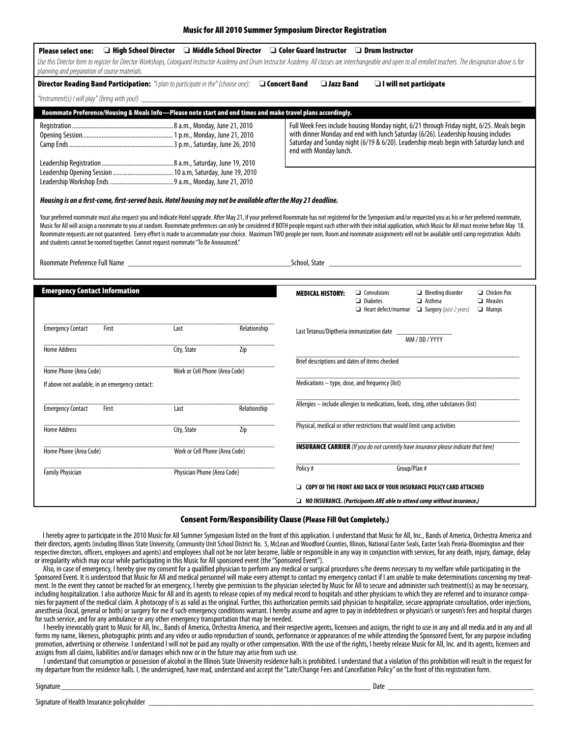| Music for All 2010 Summer Symposium Director Registration |  |  |
|-----------------------------------------------------------|--|--|
|-----------------------------------------------------------|--|--|

| $\Box$ High School Director $\quad \Box$ Middle School Director $\quad \Box$ Color Guard Instructor $\quad \Box$ Drum Instructor<br><b>Please select one:</b><br>Use this Director form to register for Director Workshops, Colorguard Instructor Academy and Drum Instructor Academy. All classes are interchangeable and open to all enrolled teachers. The designation above is for<br>planning and preparation of course materials.                                                                                                                                                                                                                                                                                                 |                                |                                                                     |                                                                                             |                                                                                                                                                                                                                                                                            |                                                                                                       |                                                 |
|-----------------------------------------------------------------------------------------------------------------------------------------------------------------------------------------------------------------------------------------------------------------------------------------------------------------------------------------------------------------------------------------------------------------------------------------------------------------------------------------------------------------------------------------------------------------------------------------------------------------------------------------------------------------------------------------------------------------------------------------|--------------------------------|---------------------------------------------------------------------|---------------------------------------------------------------------------------------------|----------------------------------------------------------------------------------------------------------------------------------------------------------------------------------------------------------------------------------------------------------------------------|-------------------------------------------------------------------------------------------------------|-------------------------------------------------|
| Director Reading Band Participation: "I plan to participate in the" (choose one): $\Box$ Concert Band                                                                                                                                                                                                                                                                                                                                                                                                                                                                                                                                                                                                                                   |                                |                                                                     | <b>Jazz Band</b>                                                                            | I will not participate                                                                                                                                                                                                                                                     |                                                                                                       |                                                 |
| "Instrument(s) I will play" (bring with you!) __________________________________                                                                                                                                                                                                                                                                                                                                                                                                                                                                                                                                                                                                                                                        |                                |                                                                     |                                                                                             |                                                                                                                                                                                                                                                                            |                                                                                                       |                                                 |
| Roommate Preference/Housing & Meals Info-Please note start and end times and make travel plans accordingly.                                                                                                                                                                                                                                                                                                                                                                                                                                                                                                                                                                                                                             |                                |                                                                     |                                                                                             |                                                                                                                                                                                                                                                                            |                                                                                                       |                                                 |
|                                                                                                                                                                                                                                                                                                                                                                                                                                                                                                                                                                                                                                                                                                                                         |                                |                                                                     | end with Monday lunch.                                                                      | Full Week Fees include housing Monday night, 6/21 through Friday night, 6/25. Meals begin<br>with dinner Monday and end with lunch Saturday (6/26). Leadership housing includes<br>Saturday and Sunday night (6/19 & 6/20). Leadership meals begin with Saturday lunch and |                                                                                                       |                                                 |
|                                                                                                                                                                                                                                                                                                                                                                                                                                                                                                                                                                                                                                                                                                                                         |                                |                                                                     |                                                                                             |                                                                                                                                                                                                                                                                            |                                                                                                       |                                                 |
| Housing is on a first-come, first-served basis. Hotel housing may not be available after the May 21 deadline.                                                                                                                                                                                                                                                                                                                                                                                                                                                                                                                                                                                                                           |                                |                                                                     |                                                                                             |                                                                                                                                                                                                                                                                            |                                                                                                       |                                                 |
| Your preferred roommate must also request you and indicate Hotel upgrade. After May 21, if your preferred Roommate has not registered for the Symposium and/or requested you as his or her preferred roommate,<br>Music for All will assign a roommate to you at random. Roommate preferences can only be considered if BOTH people request each other with their initial application, which Music for All must receive before May 18.<br>Roommate requests are not quaranteed. Every effort is made to accommodate your choice. Maximum TWO people per room. Room and roommate assignments will not be available until camp registration. Adults<br>and students cannot be roomed together. Cannot request roommate "To Be Announced." |                                |                                                                     |                                                                                             |                                                                                                                                                                                                                                                                            |                                                                                                       |                                                 |
|                                                                                                                                                                                                                                                                                                                                                                                                                                                                                                                                                                                                                                                                                                                                         |                                |                                                                     |                                                                                             | School, State <b>Example 2018</b> School, State <b>All Accords</b>                                                                                                                                                                                                         |                                                                                                       |                                                 |
| <b>Emergency Contact Information</b>                                                                                                                                                                                                                                                                                                                                                                                                                                                                                                                                                                                                                                                                                                    |                                |                                                                     | <b>MEDICAL HISTORY:</b>                                                                     | $\Box$ Convulsions<br>$\Box$ Diabetes                                                                                                                                                                                                                                      | $\Box$ Bleeding disorder<br>$\Box$ Asthma<br>$\Box$ Heart defect/murmur $\Box$ Surgery (past 2 years) | <b>Chicken Pox</b><br><b>I</b> Measles<br>Mumps |
| <b>Emergency Contact</b><br>First                                                                                                                                                                                                                                                                                                                                                                                                                                                                                                                                                                                                                                                                                                       | Last                           | Relationship                                                        | Last Tetanus/Diptheria immunization date<br>MM / DD / YYYY                                  |                                                                                                                                                                                                                                                                            |                                                                                                       |                                                 |
| <b>Home Address</b>                                                                                                                                                                                                                                                                                                                                                                                                                                                                                                                                                                                                                                                                                                                     | City, State                    | Zip                                                                 |                                                                                             |                                                                                                                                                                                                                                                                            |                                                                                                       |                                                 |
| Home Phone (Area Code)                                                                                                                                                                                                                                                                                                                                                                                                                                                                                                                                                                                                                                                                                                                  | Work or Cell Phone (Area Code) |                                                                     |                                                                                             | Brief descriptions and dates of items checked                                                                                                                                                                                                                              |                                                                                                       |                                                 |
| If above not available, in an emergency contact:                                                                                                                                                                                                                                                                                                                                                                                                                                                                                                                                                                                                                                                                                        |                                |                                                                     |                                                                                             | Medications - type, dose, and frequency (list)                                                                                                                                                                                                                             |                                                                                                       |                                                 |
| <b>Emergency Contact</b><br>First                                                                                                                                                                                                                                                                                                                                                                                                                                                                                                                                                                                                                                                                                                       | Last                           | Relationship                                                        |                                                                                             | Allergies - include allergies to medications, foods, sting, other substances (list)                                                                                                                                                                                        |                                                                                                       |                                                 |
| <b>Home Address</b>                                                                                                                                                                                                                                                                                                                                                                                                                                                                                                                                                                                                                                                                                                                     | City, State                    | Zip                                                                 |                                                                                             | Physical, medical or other restrictions that would limit camp activities                                                                                                                                                                                                   |                                                                                                       |                                                 |
| Home Phone (Area Code)<br>Work or Cell Phone (Area Code)                                                                                                                                                                                                                                                                                                                                                                                                                                                                                                                                                                                                                                                                                |                                |                                                                     | <b>INSURANCE CARRIER</b> (If you do not currently have insurance please indicate that here) |                                                                                                                                                                                                                                                                            |                                                                                                       |                                                 |
| <b>Family Physician</b>                                                                                                                                                                                                                                                                                                                                                                                                                                                                                                                                                                                                                                                                                                                 | Physician Phone (Area Code)    |                                                                     | Group/Plan #<br>Policy#                                                                     |                                                                                                                                                                                                                                                                            |                                                                                                       |                                                 |
|                                                                                                                                                                                                                                                                                                                                                                                                                                                                                                                                                                                                                                                                                                                                         |                                | O COPY OF THE FRONT AND BACK OF YOUR INSURANCE POLICY CARD ATTACHED |                                                                                             |                                                                                                                                                                                                                                                                            |                                                                                                       |                                                 |
|                                                                                                                                                                                                                                                                                                                                                                                                                                                                                                                                                                                                                                                                                                                                         |                                |                                                                     |                                                                                             | $\Box$ NO INSURANCE. (Participants ARE able to attend camp without insurance.)                                                                                                                                                                                             |                                                                                                       |                                                 |

# Consent Form/Responsibility Clause (Please Fill Out Completely.)

I hereby agree to participate in the 2010 Music for All Summer Symposium listed on the front of this application. I understand that Music for All, Inc., Bands of America, Orchestra America and their directors, agents (including Illinois State University, Community Unit School District No. 5, McLean and Woodford Counties, Illinois, National Easter Seals, Easter Seals Peoria-Bloomington and their respective directors, officers, employees and agents) and employees shall not be nor later become, liable or responsible in any way in conjunction with services, for any death, injury, damage, delay<br>or irregularity which m

Also, in case of emergency, I hereby give my consent for a qualified physician to perform any medical or surgical procedures s/he deems necessary to my welfare while participating in the<br>Sponsored Event. It is understood t ment. In the event they cannot be reached for an emergency, I hereby give permission to the physician selected by Music for All to secure and administer such treatment(s) as may be necessary,<br>including hospitalization. I a nies for payment of the medical claim. A photocopy of is as valid as the original. Further, this authorization permits said physician to hospitalize, secure appropriate consultation, order injections, anesthesia (local, general or both) or surgery for me if such emergency conditions warrant. I hereby assume and agree to pay in indebtedness or physician's or surgeon's fees and hospital charges for such service, and for any ambulance or any other emergency transportation that may be needed.

I hereby irrevocably grant to Music for All, Inc., Bands of America, Orchestra America, and their respective agents, licensees and assigns, the right to use in any and all media and in any and all forms my name, likeness, photographic prints and any video or audio reproduction of sounds, performance or appearances of me while attending the Sponsored Event, for any purpose including promotion, advertising or otherwise. I understand I will not be paid any royalty or other compensation. With the use of the rights, I hereby release Music for All, Inc. and its agents, licensees and assigns from all claims, liabilities and/or damages which now or in the future may arise from such use.

I understand that consumption or possession of alcohol in the Illinois State University residence halls is prohibited. I understand that a violation of this prohibition will result in the request for my departure from the residence halls. I, the undersigned, have read, understand and accept the "Late/Change Fees and Cancellation Policy" on the front of this registration form.

| Sianature | <b>Date</b> |  |
|-----------|-------------|--|
|           |             |  |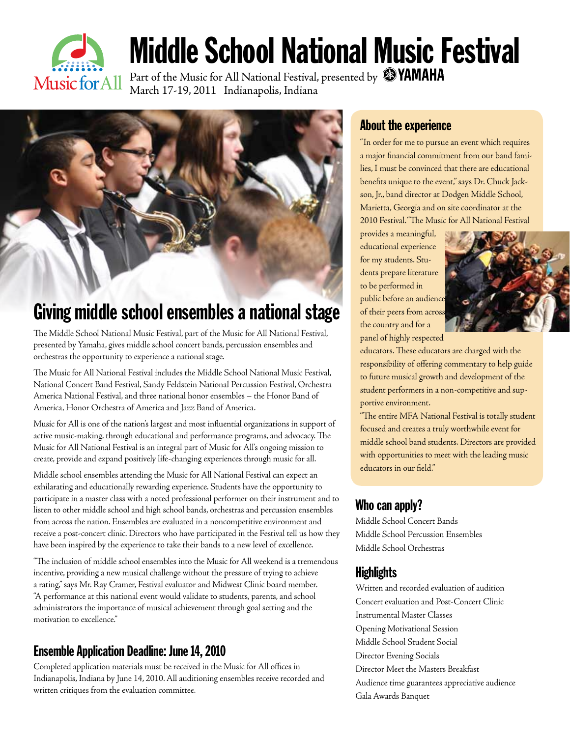

# Middle School National Music Festival

Part of the Music for All National Festival, presented by **@YAMAHA** March 17-19, 2011 Indianapolis, Indiana



# Giving middle school ensembles a national stage

The Middle School National Music Festival, part of the Music for All National Festival, presented by Yamaha, gives middle school concert bands, percussion ensembles and orchestras the opportunity to experience a national stage.

The Music for All National Festival includes the Middle School National Music Festival, National Concert Band Festival, Sandy Feldstein National Percussion Festival, Orchestra America National Festival, and three national honor ensembles – the Honor Band of America, Honor Orchestra of America and Jazz Band of America.

Music for All is one of the nation's largest and most influential organizations in support of active music-making, through educational and performance programs, and advocacy. The Music for All National Festival is an integral part of Music for All's ongoing mission to create, provide and expand positively life-changing experiences through music for all.

Middle school ensembles attending the Music for All National Festival can expect an exhilarating and educationally rewarding experience. Students have the opportunity to participate in a master class with a noted professional performer on their instrument and to listen to other middle school and high school bands, orchestras and percussion ensembles from across the nation. Ensembles are evaluated in a noncompetitive environment and receive a post-concert clinic. Directors who have participated in the Festival tell us how they have been inspired by the experience to take their bands to a new level of excellence.

"The inclusion of middle school ensembles into the Music for All weekend is a tremendous incentive, providing a new musical challenge without the pressure of trying to achieve a rating," says Mr. Ray Cramer, Festival evaluator and Midwest Clinic board member. "A performance at this national event would validate to students, parents, and school administrators the importance of musical achievement through goal setting and the motivation to excellence."

# Ensemble Application Deadline: June 14, 2010

Completed application materials must be received in the Music for All offices in Indianapolis, Indiana by June 14, 2010. All auditioning ensembles receive recorded and written critiques from the evaluation committee.

# About the experience

"In order for me to pursue an event which requires a major financial commitment from our band families, I must be convinced that there are educational benefits unique to the event," says Dr. Chuck Jackson, Jr., band director at Dodgen Middle School, Marietta, Georgia and on site coordinator at the 2010 Festival. "The Music for All National Festival

provides a meaningful, educational experience for my students. Students prepare literature to be performed in public before an audience of their peers from acros. the country and for a panel of highly respected



educators. These educators are charged with the responsibility of offering commentary to help guide to future musical growth and development of the student performers in a non-competitive and supportive environment.

"The entire MFA National Festival is totally student focused and creates a truly worthwhile event for middle school band students. Directors are provided with opportunities to meet with the leading music educators in our field."

# Who can apply?

Middle School Concert Bands Middle School Percussion Ensembles Middle School Orchestras

# **Highlights**

Written and recorded evaluation of audition Concert evaluation and Post-Concert Clinic Instrumental Master Classes Opening Motivational Session Middle School Student Social Director Evening Socials Director Meet the Masters Breakfast Audience time guarantees appreciative audience Gala Awards Banquet